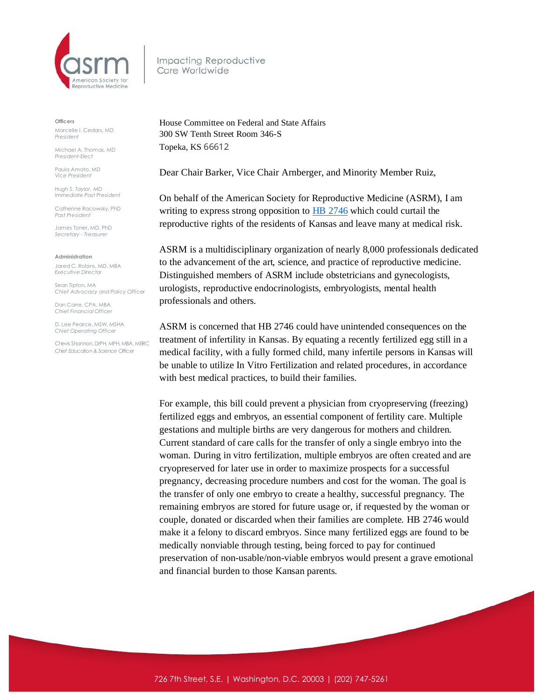

Impacting Reproductive Care Worldwide

**Officers**

Marcelle I. Cedars, MD *President*

Michael A. Thomas, MD *President-Elect*

Paula Amato, MD *Vice President*

*Hugh S. Taylor, MD Immediate Past President*

Catherine Racowsky, PhD *Past President*

James Toner, MD, PhD *Secretary - Treasurer* 

**Administration**

Jared C. Robins, MD, MBA *Executive Director*

Sean Tipton, MA *Chief Advocacy and Policy Officer*

Dan Carre, CPA, MBA *Chief Financial Officer*

D. Lee Pearce, MSW, MSHA *Chief Operating Officer* 

Chevis Shannon, DrPH, MPH, MBA, MERC *Chief Education & Science Officer*

House Committee on Federal and State Affairs 300 SW Tenth Street Room 346-S Topeka, KS 66612

Dear Chair Barker, Vice Chair Arnberger, and Minority Member Ruiz,

On behalf of the American Society for Reproductive Medicine (ASRM), I am writing to express strong opposition to **HB** 2746 which could curtail the reproductive rights of the residents of Kansas and leave many at medical risk.

ASRM is a multidisciplinary organization of nearly 8,000 professionals dedicated to the advancement of the art, science, and practice of reproductive medicine. Distinguished members of ASRM include obstetricians and gynecologists, urologists, reproductive endocrinologists, embryologists, mental health professionals and others.

ASRM is concerned that HB 2746 could have unintended consequences on the treatment of infertility in Kansas. By equating a recently fertilized egg still in a medical facility, with a fully formed child, many infertile persons in Kansas will be unable to utilize In Vitro Fertilization and related procedures, in accordance with best medical practices, to build their families.

For example, this bill could prevent a physician from cryopreserving (freezing) fertilized eggs and embryos, an essential component of fertility care. Multiple gestations and multiple births are very dangerous for mothers and children. Current standard of care calls for the transfer of only a single embryo into the woman. During in vitro fertilization, multiple embryos are often created and are cryopreserved for later use in order to maximize prospects for a successful pregnancy, decreasing procedure numbers and cost for the woman. The goal is the transfer of only one embryo to create a healthy, successful pregnancy. The remaining embryos are stored for future usage or, if requested by the woman or couple, donated or discarded when their families are complete. HB 2746 would make it a felony to discard embryos. Since many fertilized eggs are found to be medically nonviable through testing, being forced to pay for continued preservation of non-usable/non-viable embryos would present a grave emotional and financial burden to those Kansan parents.